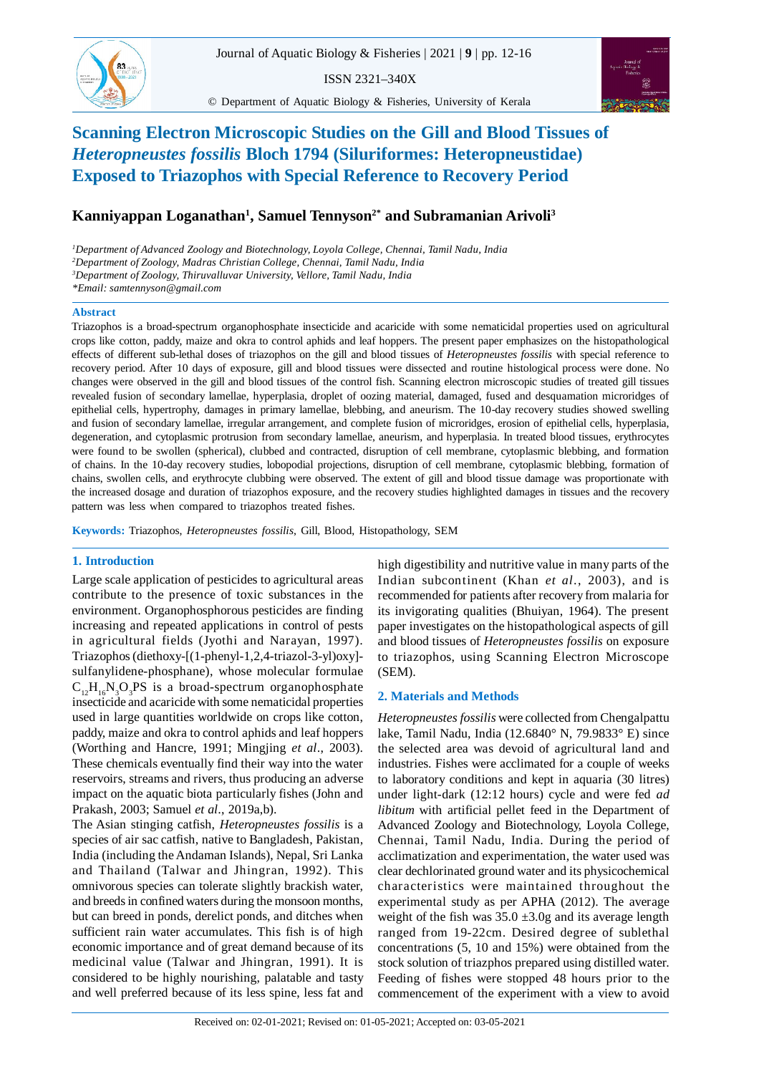$83...$ 

SEM Studies on the Gill and Blood Tissues of *Heteropneustes fossilis* Exposed to Triazophos

ISSN 2321–340X

© Department of Aquatic Biology & Fisheries, University of Kerala



# **Scanning Electron Microscopic Studies on the Gill and Blood Tissues of** *Heteropneustes fossilis* **Bloch 1794 (Siluriformes: Heteropneustidae) Exposed to Triazophos with Special Reference to Recovery Period**

# **Kanniyappan Loganathan<sup>1</sup> , Samuel Tennyson2\* and Subramanian Arivoli<sup>3</sup>**

*<sup>1</sup>Department of Advanced Zoology and Biotechnology, Loyola College, Chennai, Tamil Nadu, India <sup>2</sup>Department of Zoology, Madras Christian College, Chennai, Tamil Nadu, India <sup>3</sup>Department of Zoology, Thiruvalluvar University, Vellore, Tamil Nadu, India*

#### **Abstract**

Triazophos is a broad-spectrum organophosphate insecticide and acaricide with some nematicidal properties used on agricultural crops like cotton, paddy, maize and okra to control aphids and leaf hoppers. The present paper emphasizes on the histopathological effects of different sub-lethal doses of triazophos on the gill and blood tissues of *Heteropneustes fossilis* with special reference to recovery period. After 10 days of exposure, gill and blood tissues were dissected and routine histological process were done. No changes were observed in the gill and blood tissues of the control fish. Scanning electron microscopic studies of treated gill tissues revealed fusion of secondary lamellae, hyperplasia, droplet of oozing material, damaged, fused and desquamation microridges of epithelial cells, hypertrophy, damages in primary lamellae, blebbing, and aneurism. The 10-day recovery studies showed swelling and fusion of secondary lamellae, irregular arrangement, and complete fusion of microridges, erosion of epithelial cells, hyperplasia, degeneration, and cytoplasmic protrusion from secondary lamellae, aneurism, and hyperplasia. In treated blood tissues, erythrocytes were found to be swollen (spherical), clubbed and contracted, disruption of cell membrane, cytoplasmic blebbing, and formation of chains. In the 10-day recovery studies, lobopodial projections, disruption of cell membrane, cytoplasmic blebbing, formation of chains, swollen cells, and erythrocyte clubbing were observed. The extent of gill and blood tissue damage was proportionate with the increased dosage and duration of triazophos exposure, and the recovery studies highlighted damages in tissues and the recovery pattern was less when compared to triazophos treated fishes.

**Keywords:** Triazophos, *Heteropneustes fossilis*, Gill, Blood, Histopathology, SEM

# **1. Introduction**

Large scale application of pesticides to agricultural areas contribute to the presence of toxic substances in the environment. Organophosphorous pesticides are finding increasing and repeated applications in control of pests in agricultural fields (Jyothi and Narayan, 1997). Triazophos (diethoxy-[(1-phenyl-1,2,4-triazol-3-yl)oxy] sulfanylidene-phosphane), whose molecular formulae  $C_{12}H_{16}N_3O_3PS$  is a broad-spectrum organophosphate insecticide and acaricide with some nematicidal properties used in large quantities worldwide on crops like cotton, paddy, maize and okra to control aphids and leaf hoppers (Worthing and Hancre, 1991; Mingjing *et al*., 2003). These chemicals eventually find their way into the water reservoirs, streams and rivers, thus producing an adverse impact on the aquatic biota particularly fishes (John and Prakash, 2003; Samuel *et al*., 2019a,b).

The Asian stinging catfish, *Heteropneustes fossilis* is a species of air sac catfish, native to Bangladesh, Pakistan, India (including the Andaman Islands), Nepal, Sri Lanka and Thailand (Talwar and Jhingran, 1992). This omnivorous species can tolerate slightly brackish water, and breeds in confined waters during the monsoon months, but can breed in ponds, derelict ponds, and ditches when sufficient rain water accumulates. This fish is of high economic importance and of great demand because of its medicinal value (Talwar and Jhingran, 1991). It is considered to be highly nourishing, palatable and tasty and well preferred because of its less spine, less fat and high digestibility and nutritive value in many parts of the Indian subcontinent (Khan *et al*., 2003), and is recommended for patients after recovery from malaria for its invigorating qualities (Bhuiyan, 1964). The present paper investigates on the histopathological aspects of gill and blood tissues of *Heteropneustes fossilis* on exposure to triazophos, using Scanning Electron Microscope (SEM).

# **2. Materials and Methods**

*Heteropneustes fossilis* were collected from Chengalpattu lake, Tamil Nadu, India (12.6840° N, 79.9833° E) since the selected area was devoid of agricultural land and industries. Fishes were acclimated for a couple of weeks to laboratory conditions and kept in aquaria (30 litres) under light-dark (12:12 hours) cycle and were fed *ad libitum* with artificial pellet feed in the Department of Advanced Zoology and Biotechnology, Loyola College, Chennai, Tamil Nadu, India. During the period of acclimatization and experimentation, the water used was clear dechlorinated ground water and its physicochemical characteristics were maintained throughout the experimental study as per APHA (2012). The average weight of the fish was  $35.0 \pm 3.0$ g and its average length ranged from 19-22cm. Desired degree of sublethal concentrations (5, 10 and 15%) were obtained from the stock solution of triazphos prepared using distilled water. Feeding of fishes were stopped 48 hours prior to the commencement of the experiment with a view to avoid

*<sup>\*</sup>Email: samtennyson@gmail.com*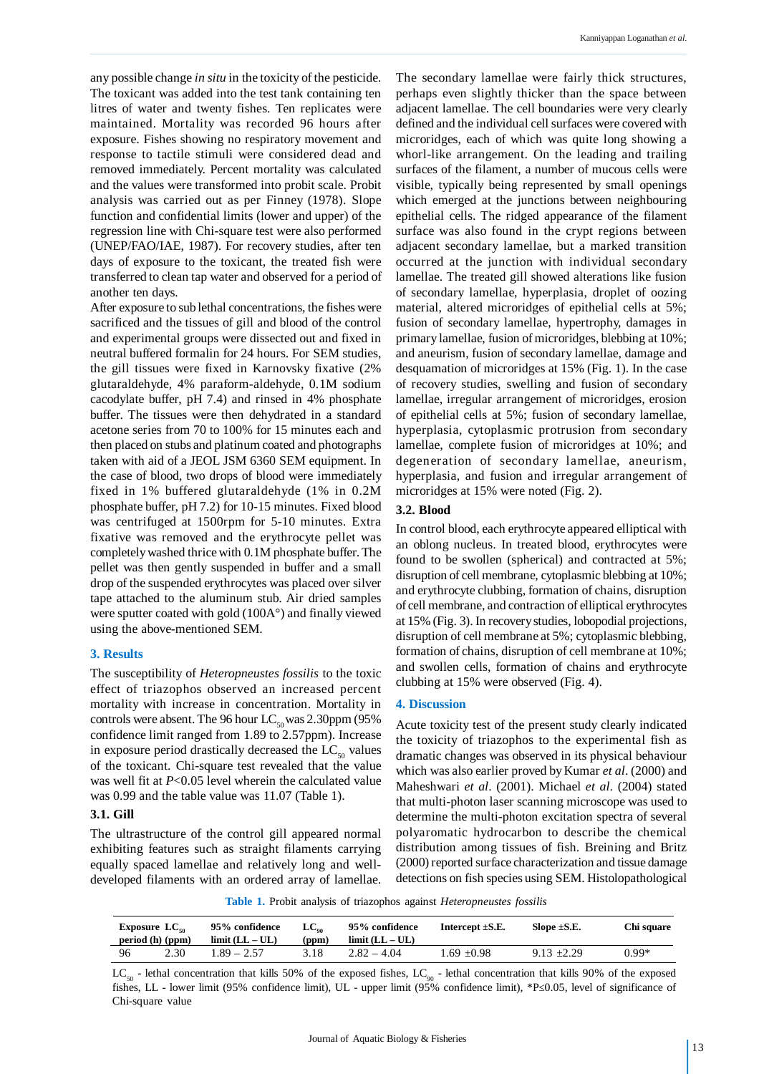any possible change *in situ* in the toxicity of the pesticide. The toxicant was added into the test tank containing ten litres of water and twenty fishes. Ten replicates were maintained. Mortality was recorded 96 hours after exposure. Fishes showing no respiratory movement and response to tactile stimuli were considered dead and removed immediately. Percent mortality was calculated and the values were transformed into probit scale. Probit analysis was carried out as per Finney (1978). Slope function and confidential limits (lower and upper) of the regression line with Chi-square test were also performed (UNEP/FAO/IAE, 1987). For recovery studies, after ten days of exposure to the toxicant, the treated fish were transferred to clean tap water and observed for a period of another ten days.

After exposure to sub lethal concentrations, the fishes were sacrificed and the tissues of gill and blood of the control and experimental groups were dissected out and fixed in neutral buffered formalin for 24 hours. For SEM studies, the gill tissues were fixed in Karnovsky fixative (2% glutaraldehyde, 4% paraform-aldehyde, 0.1M sodium cacodylate buffer, pH 7.4) and rinsed in 4% phosphate buffer. The tissues were then dehydrated in a standard acetone series from 70 to 100% for 15 minutes each and then placed on stubs and platinum coated and photographs taken with aid of a JEOL JSM 6360 SEM equipment. In the case of blood, two drops of blood were immediately fixed in 1% buffered glutaraldehyde (1% in 0.2M phosphate buffer, pH 7.2) for 10-15 minutes. Fixed blood was centrifuged at 1500rpm for 5-10 minutes. Extra fixative was removed and the erythrocyte pellet was completely washed thrice with 0.1M phosphate buffer. The pellet was then gently suspended in buffer and a small drop of the suspended erythrocytes was placed over silver tape attached to the aluminum stub. Air dried samples were sputter coated with gold (100A°) and finally viewed using the above-mentioned SEM.

#### **3. Results**

The susceptibility of *Heteropneustes fossilis* to the toxic effect of triazophos observed an increased percent mortality with increase in concentration. Mortality in controls were absent. The 96 hour  $LC_{so}$  was 2.30ppm (95%) confidence limit ranged from 1.89 to 2.57ppm). Increase in exposure period drastically decreased the  $LC_{50}$  values of the toxicant. Chi-square test revealed that the value was well fit at *P*<0.05 level wherein the calculated value was 0.99 and the table value was 11.07 (Table 1).

# **3.1. Gill**

The ultrastructure of the control gill appeared normal exhibiting features such as straight filaments carrying equally spaced lamellae and relatively long and welldeveloped filaments with an ordered array of lamellae.

The secondary lamellae were fairly thick structures, perhaps even slightly thicker than the space between adjacent lamellae. The cell boundaries were very clearly defined and the individual cell surfaces were covered with microridges, each of which was quite long showing a whorl-like arrangement. On the leading and trailing surfaces of the filament, a number of mucous cells were visible, typically being represented by small openings which emerged at the junctions between neighbouring epithelial cells. The ridged appearance of the filament surface was also found in the crypt regions between adjacent secondary lamellae, but a marked transition occurred at the junction with individual secondary lamellae. The treated gill showed alterations like fusion of secondary lamellae, hyperplasia, droplet of oozing material, altered microridges of epithelial cells at 5%; fusion of secondary lamellae, hypertrophy, damages in primary lamellae, fusion of microridges, blebbing at 10%; and aneurism, fusion of secondary lamellae, damage and desquamation of microridges at 15% (Fig. 1). In the case of recovery studies, swelling and fusion of secondary lamellae, irregular arrangement of microridges, erosion of epithelial cells at 5%; fusion of secondary lamellae, hyperplasia, cytoplasmic protrusion from secondary lamellae, complete fusion of microridges at 10%; and degeneration of secondary lamellae, aneurism, hyperplasia, and fusion and irregular arrangement of microridges at 15% were noted (Fig. 2).

# **3.2. Blood**

In control blood, each erythrocyte appeared elliptical with an oblong nucleus. In treated blood, erythrocytes were found to be swollen (spherical) and contracted at 5%; disruption of cell membrane, cytoplasmic blebbing at 10%; and erythrocyte clubbing, formation of chains, disruption of cell membrane, and contraction of elliptical erythrocytes at 15% (Fig. 3). In recovery studies, lobopodial projections, disruption of cell membrane at 5%; cytoplasmic blebbing, formation of chains, disruption of cell membrane at 10%; and swollen cells, formation of chains and erythrocyte clubbing at 15% were observed (Fig. 4).

# **4. Discussion**

Acute toxicity test of the present study clearly indicated the toxicity of triazophos to the experimental fish as dramatic changes was observed in its physical behaviour which was also earlier proved by Kumar *et al*. (2000) and Maheshwari *et al*. (2001). Michael *et al*. (2004) stated that multi-photon laser scanning microscope was used to determine the multi-photon excitation spectra of several polyaromatic hydrocarbon to describe the chemical distribution among tissues of fish. Breining and Britz (2000) reported surface characterization and tissue damage detections on fish species using SEM. Histolopathological

**Table 1.** Probit analysis of triazophos against *Heteropneustes fossilis*

| Exposure $LC_{\infty}$<br>period (h) (ppm) |      | 95% confidence<br>$limit (LL - UL)$ | $LC_{\infty}$<br>(ppm) | 95% confidence<br>$limit (LL - UL)$ | Intercept $\pm$ S.E. | Slope $\pm$ S.E. | Chi square |
|--------------------------------------------|------|-------------------------------------|------------------------|-------------------------------------|----------------------|------------------|------------|
| - 96                                       | 2.30 | $1.89 - 2.57$                       | 3.18                   | $2.82 - 4.04$                       | 1.69 +0.98           | $9.13 \pm 2.29$  | 0.99*      |

 $LC_{50}$  - lethal concentration that kills 50% of the exposed fishes,  $LC_{90}$  - lethal concentration that kills 90% of the exposed fishes, LL - lower limit (95% confidence limit), UL - upper limit (95% confidence limit), \*P $\leq 0.05$ , level of significance of Chi-square value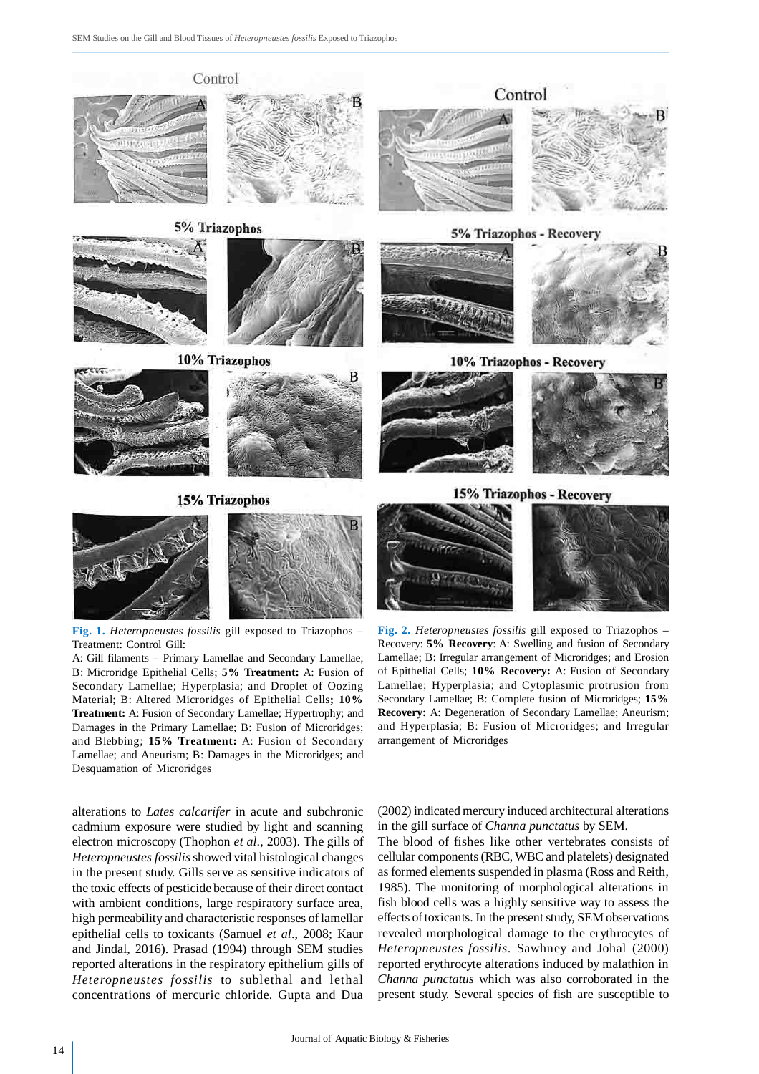

**Fig. 1.** *Heteropneustes fossilis* gill exposed to Triazophos – Treatment: Control Gill:

A: Gill filaments – Primary Lamellae and Secondary Lamellae; B: Microridge Epithelial Cells; **5% Treatment:** A: Fusion of Secondary Lamellae; Hyperplasia; and Droplet of Oozing Material; B: Altered Microridges of Epithelial Cells**; 10% Treatment:** A: Fusion of Secondary Lamellae; Hypertrophy; and Damages in the Primary Lamellae; B: Fusion of Microridges; and Blebbing; **15% Treatment:** A: Fusion of Secondary Lamellae; and Aneurism; B: Damages in the Microridges; and Desquamation of Microridges

alterations to *Lates calcarifer* in acute and subchronic cadmium exposure were studied by light and scanning electron microscopy (Thophon *et al*., 2003). The gills of *Heteropneustes fossilis* showed vital histological changes in the present study. Gills serve as sensitive indicators of the toxic effects of pesticide because of their direct contact with ambient conditions, large respiratory surface area, high permeability and characteristic responses of lamellar epithelial cells to toxicants (Samuel *et al*., 2008; Kaur and Jindal, 2016). Prasad (1994) through SEM studies reported alterations in the respiratory epithelium gills of *Heteropneustes fossilis* to sublethal and lethal concentrations of mercuric chloride. Gupta and Dua

**Fig. 2.** *Heteropneustes fossilis* gill exposed to Triazophos – Recovery: **5% Recovery**: A: Swelling and fusion of Secondary Lamellae; B: Irregular arrangement of Microridges; and Erosion of Epithelial Cells; **10% Recovery:** A: Fusion of Secondary Lamellae; Hyperplasia; and Cytoplasmic protrusion from Secondary Lamellae; B: Complete fusion of Microridges; **15% Recovery:** A: Degeneration of Secondary Lamellae; Aneurism; and Hyperplasia; B: Fusion of Microridges; and Irregular arrangement of Microridges

(2002) indicated mercury induced architectural alterations in the gill surface of *Channa punctatus* by SEM.

The blood of fishes like other vertebrates consists of cellular components (RBC, WBC and platelets) designated as formed elements suspended in plasma (Ross and Reith, 1985). The monitoring of morphological alterations in fish blood cells was a highly sensitive way to assess the effects of toxicants. In the present study, SEM observations revealed morphological damage to the erythrocytes of *Heteropneustes fossilis*. Sawhney and Johal (2000) reported erythrocyte alterations induced by malathion in *Channa punctatus* which was also corroborated in the present study. Several species of fish are susceptible to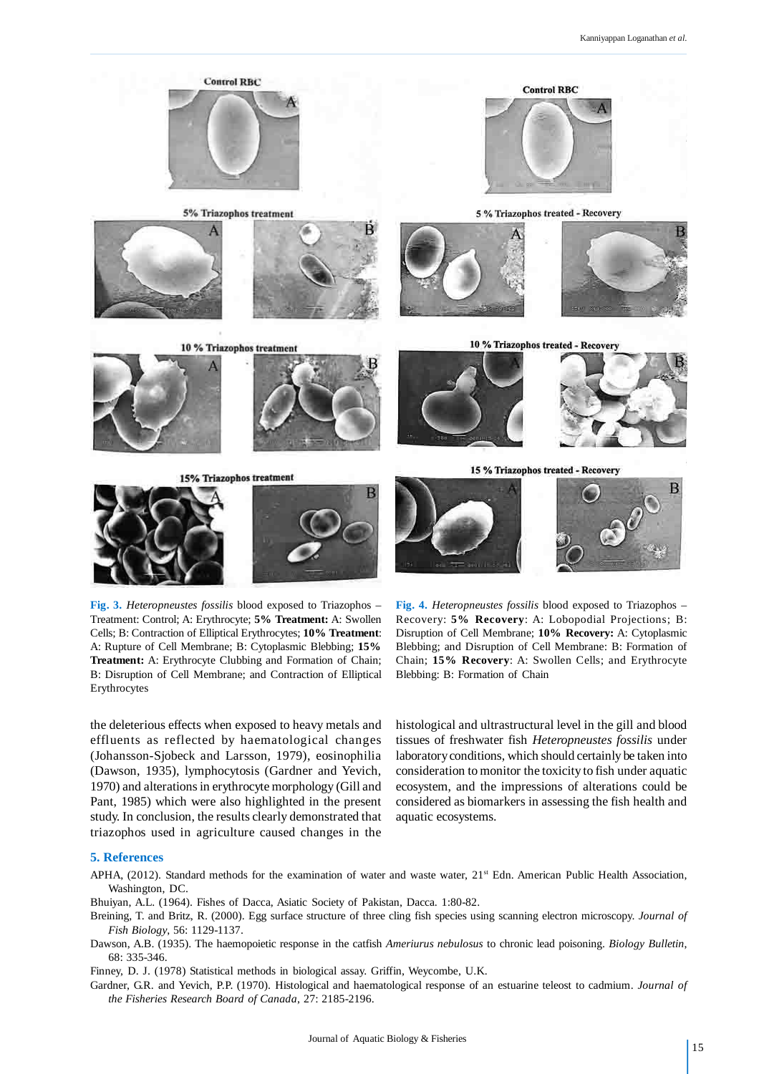

**Fig. 3.** *Heteropneustes fossilis* blood exposed to Triazophos – Treatment: Control; A: Erythrocyte; **5% Treatment:** A: Swollen Cells; B: Contraction of Elliptical Erythrocytes; **10% Treatment**: A: Rupture of Cell Membrane; B: Cytoplasmic Blebbing; **15% Treatment:** A: Erythrocyte Clubbing and Formation of Chain; B: Disruption of Cell Membrane; and Contraction of Elliptical Erythrocytes

**Fig. 4.** *Heteropneustes fossilis* blood exposed to Triazophos – Recovery: **5% Recovery**: A: Lobopodial Projections; B: Disruption of Cell Membrane; **10% Recovery:** A: Cytoplasmic Blebbing; and Disruption of Cell Membrane: B: Formation of Chain; **15% Recovery**: A: Swollen Cells; and Erythrocyte Blebbing: B: Formation of Chain

the deleterious effects when exposed to heavy metals and effluents as reflected by haematological changes (Johansson-Sjobeck and Larsson, 1979), eosinophilia (Dawson, 1935), lymphocytosis (Gardner and Yevich, 1970) and alterations in erythrocyte morphology (Gill and Pant, 1985) which were also highlighted in the present study. In conclusion, the results clearly demonstrated that triazophos used in agriculture caused changes in the histological and ultrastructural level in the gill and blood tissues of freshwater fish *Heteropneustes fossilis* under laboratory conditions, which should certainly be taken into consideration to monitor the toxicity to fish under aquatic ecosystem, and the impressions of alterations could be considered as biomarkers in assessing the fish health and aquatic ecosystems.

#### **5. References**

APHA, (2012). Standard methods for the examination of water and waste water,  $21<sup>st</sup>$  Edn. American Public Health Association, Washington, DC.

Bhuiyan, A.L. (1964). Fishes of Dacca, Asiatic Society of Pakistan, Dacca. 1:80-82.

- Breining, T. and Britz, R. (2000). Egg surface structure of three cling fish species using scanning electron microscopy. *Journal of Fish Biology*, 56: 1129-1137.
- Dawson, A.B. (1935). The haemopoietic response in the catfish *Ameriurus nebulosus* to chronic lead poisoning. *Biology Bulletin*, 68: 335-346.

Finney, D. J. (1978) Statistical methods in biological assay. Griffin, Weycombe, U.K.

Gardner, G.R. and Yevich, P.P. (1970). Histological and haematological response of an estuarine teleost to cadmium. *Journal of the Fisheries Research Board of Canada*, 27: 2185-2196.